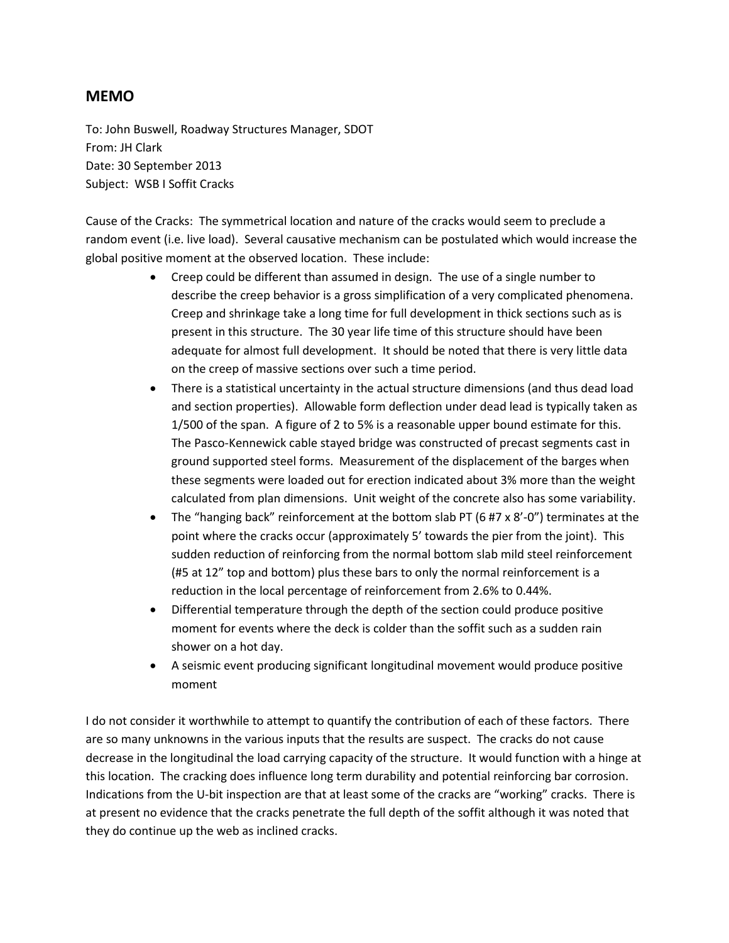## **MEMO**

To: John Buswell, Roadway Structures Manager, SDOT From: JH Clark Date: 30 September 2013 Subject: WSB I Soffit Cracks

Cause of the Cracks: The symmetrical location and nature of the cracks would seem to preclude a random event (i.e. live load). Several causative mechanism can be postulated which would increase the global positive moment at the observed location. These include:

- Creep could be different than assumed in design. The use of a single number to describe the creep behavior is a gross simplification of a very complicated phenomena. Creep and shrinkage take a long time for full development in thick sections such as is present in this structure. The 30 year life time of this structure should have been adequate for almost full development. It should be noted that there is very little data on the creep of massive sections over such a time period.
- There is a statistical uncertainty in the actual structure dimensions (and thus dead load and section properties). Allowable form deflection under dead lead is typically taken as 1/500 of the span. A figure of 2 to 5% is a reasonable upper bound estimate for this. The Pasco-Kennewick cable stayed bridge was constructed of precast segments cast in ground supported steel forms. Measurement of the displacement of the barges when these segments were loaded out for erection indicated about 3% more than the weight calculated from plan dimensions. Unit weight of the concrete also has some variability.
- The "hanging back" reinforcement at the bottom slab PT (6 #7 x 8'-0") terminates at the point where the cracks occur (approximately 5' towards the pier from the joint). This sudden reduction of reinforcing from the normal bottom slab mild steel reinforcement (#5 at 12" top and bottom) plus these bars to only the normal reinforcement is a reduction in the local percentage of reinforcement from 2.6% to 0.44%.
- Differential temperature through the depth of the section could produce positive moment for events where the deck is colder than the soffit such as a sudden rain shower on a hot day.
- A seismic event producing significant longitudinal movement would produce positive moment

I do not consider it worthwhile to attempt to quantify the contribution of each of these factors. There are so many unknowns in the various inputs that the results are suspect. The cracks do not cause decrease in the longitudinal the load carrying capacity of the structure. It would function with a hinge at this location. The cracking does influence long term durability and potential reinforcing bar corrosion. Indications from the U-bit inspection are that at least some of the cracks are "working" cracks. There is at present no evidence that the cracks penetrate the full depth of the soffit although it was noted that they do continue up the web as inclined cracks.